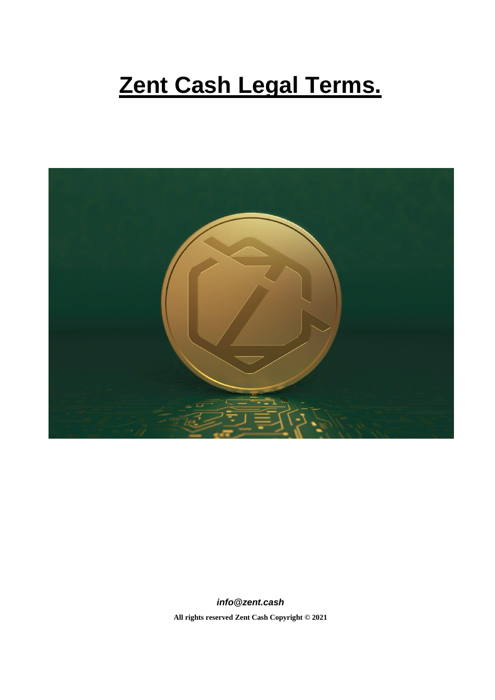# **Zent Cash Legal Terms.**



*info@zent.cash* **All rights reserve[d Zent Cash](https://zent.cash/) Copyright © 2021**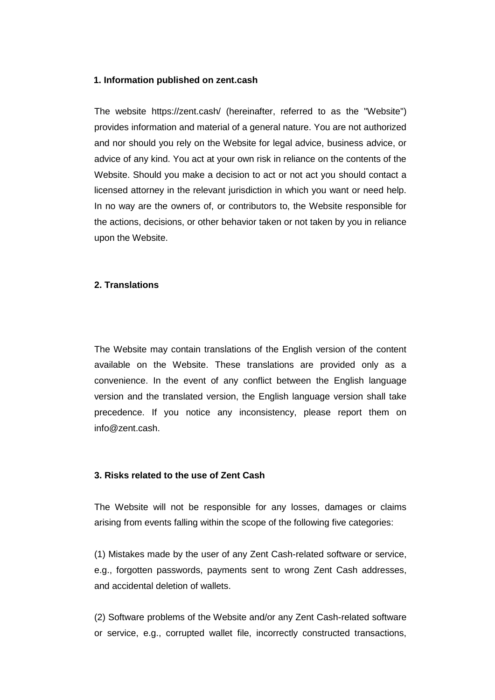#### **1. Information published on zent.cash**

The website https://zent.cash/ (hereinafter, referred to as the "Website") provides information and material of a general nature. You are not authorized and nor should you rely on the Website for legal advice, business advice, or advice of any kind. You act at your own risk in reliance on the contents of the Website. Should you make a decision to act or not act you should contact a licensed attorney in the relevant jurisdiction in which you want or need help. In no way are the owners of, or contributors to, the Website responsible for the actions, decisions, or other behavior taken or not taken by you in reliance upon the Website.

#### **2. Translations**

The Website may contain translations of the English version of the content available on the Website. These translations are provided only as a convenience. In the event of any conflict between the English language version and the translated version, the English language version shall take precedence. If you notice any inconsistency, please report them on info@zent.cash.

#### **3. Risks related to the use of Zent Cash**

The Website will not be responsible for any losses, damages or claims arising from events falling within the scope of the following five categories:

(1) Mistakes made by the user of any Zent Cash-related software or service, e.g., forgotten passwords, payments sent to wrong Zent Cash addresses, and accidental deletion of wallets.

(2) Software problems of the Website and/or any Zent Cash-related software or service, e.g., corrupted wallet file, incorrectly constructed transactions,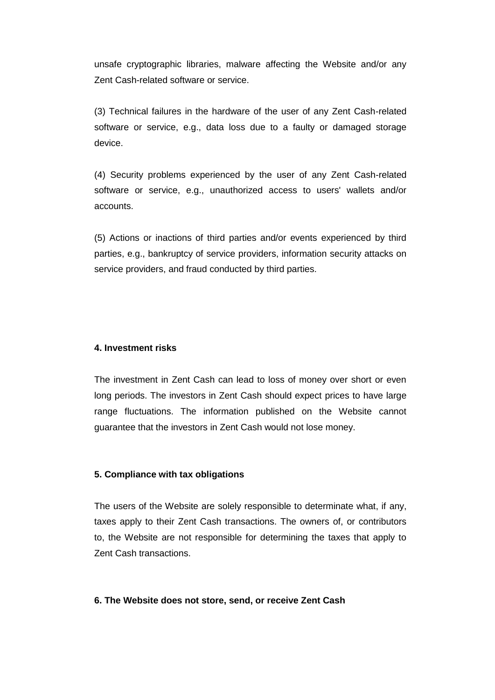unsafe cryptographic libraries, malware affecting the Website and/or any Zent Cash-related software or service.

(3) Technical failures in the hardware of the user of any Zent Cash-related software or service, e.g., data loss due to a faulty or damaged storage device.

(4) Security problems experienced by the user of any Zent Cash-related software or service, e.g., unauthorized access to users' wallets and/or accounts.

(5) Actions or inactions of third parties and/or events experienced by third parties, e.g., bankruptcy of service providers, information security attacks on service providers, and fraud conducted by third parties.

## **4. Investment risks**

The investment in Zent Cash can lead to loss of money over short or even long periods. The investors in Zent Cash should expect prices to have large range fluctuations. The information published on the Website cannot guarantee that the investors in Zent Cash would not lose money.

#### **5. Compliance with tax obligations**

The users of the Website are solely responsible to determinate what, if any, taxes apply to their Zent Cash transactions. The owners of, or contributors to, the Website are not responsible for determining the taxes that apply to Zent Cash transactions.

#### **6. The Website does not store, send, or receive Zent Cash**